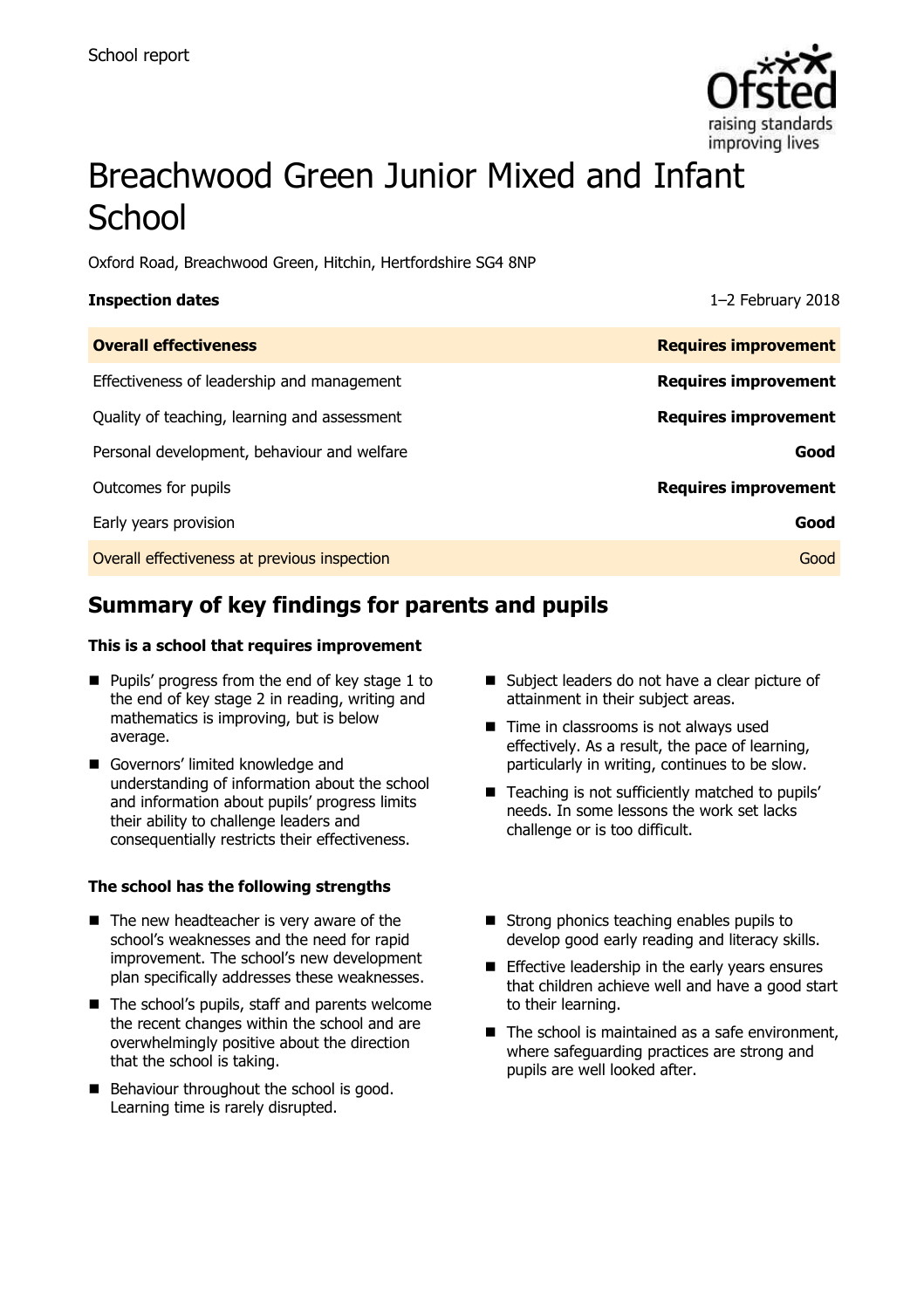

# Breachwood Green Junior Mixed and Infant **School**

Oxford Road, Breachwood Green, Hitchin, Hertfordshire SG4 8NP

| <b>Inspection dates</b>                      | $1-2$ February 2018         |
|----------------------------------------------|-----------------------------|
| <b>Overall effectiveness</b>                 | <b>Requires improvement</b> |
| Effectiveness of leadership and management   | <b>Requires improvement</b> |
| Quality of teaching, learning and assessment | <b>Requires improvement</b> |
| Personal development, behaviour and welfare  | Good                        |
| Outcomes for pupils                          | <b>Requires improvement</b> |
| Early years provision                        | Good                        |
| Overall effectiveness at previous inspection | Good                        |

# **Summary of key findings for parents and pupils**

### **This is a school that requires improvement**

- **Pupils' progress from the end of key stage 1 to** the end of key stage 2 in reading, writing and mathematics is improving, but is below average.
- Governors' limited knowledge and understanding of information about the school and information about pupils' progress limits their ability to challenge leaders and consequentially restricts their effectiveness.

### **The school has the following strengths**

- $\blacksquare$  The new headteacher is very aware of the school's weaknesses and the need for rapid improvement. The school's new development plan specifically addresses these weaknesses.
- The school's pupils, staff and parents welcome the recent changes within the school and are overwhelmingly positive about the direction that the school is taking.
- Behaviour throughout the school is good. Learning time is rarely disrupted.
- Subject leaders do not have a clear picture of attainment in their subject areas.
- Time in classrooms is not always used effectively. As a result, the pace of learning, particularly in writing, continues to be slow.
- Teaching is not sufficiently matched to pupils' needs. In some lessons the work set lacks challenge or is too difficult.
- Strong phonics teaching enables pupils to develop good early reading and literacy skills.
- **Effective leadership in the early years ensures** that children achieve well and have a good start to their learning.
- $\blacksquare$  The school is maintained as a safe environment, where safeguarding practices are strong and pupils are well looked after.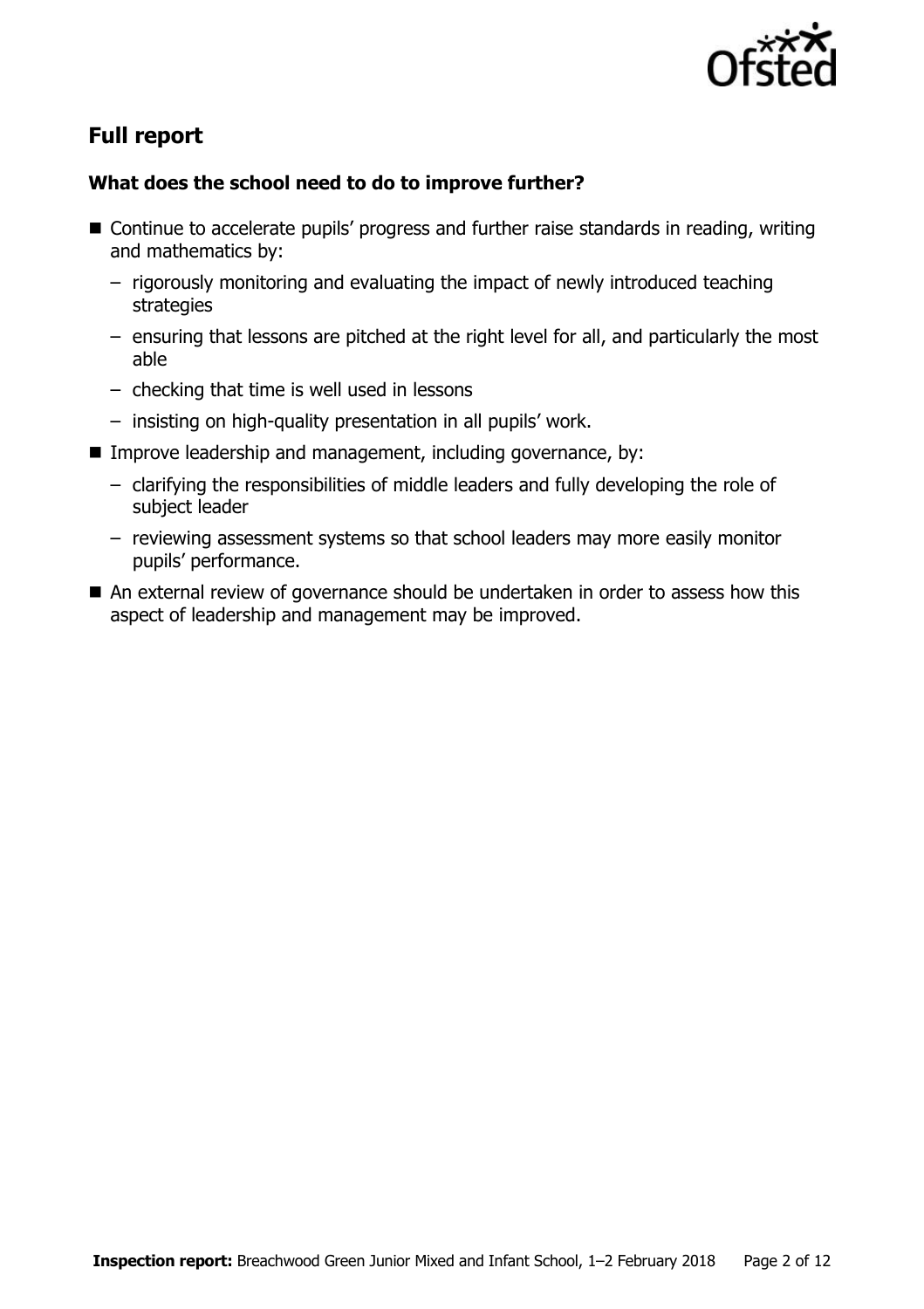

# **Full report**

### **What does the school need to do to improve further?**

- Continue to accelerate pupils' progress and further raise standards in reading, writing and mathematics by:
	- rigorously monitoring and evaluating the impact of newly introduced teaching strategies
	- ensuring that lessons are pitched at the right level for all, and particularly the most able
	- checking that time is well used in lessons
	- insisting on high-quality presentation in all pupils' work.
- Improve leadership and management, including governance, by:
	- clarifying the responsibilities of middle leaders and fully developing the role of subject leader
	- reviewing assessment systems so that school leaders may more easily monitor pupils' performance.
- An external review of governance should be undertaken in order to assess how this aspect of leadership and management may be improved.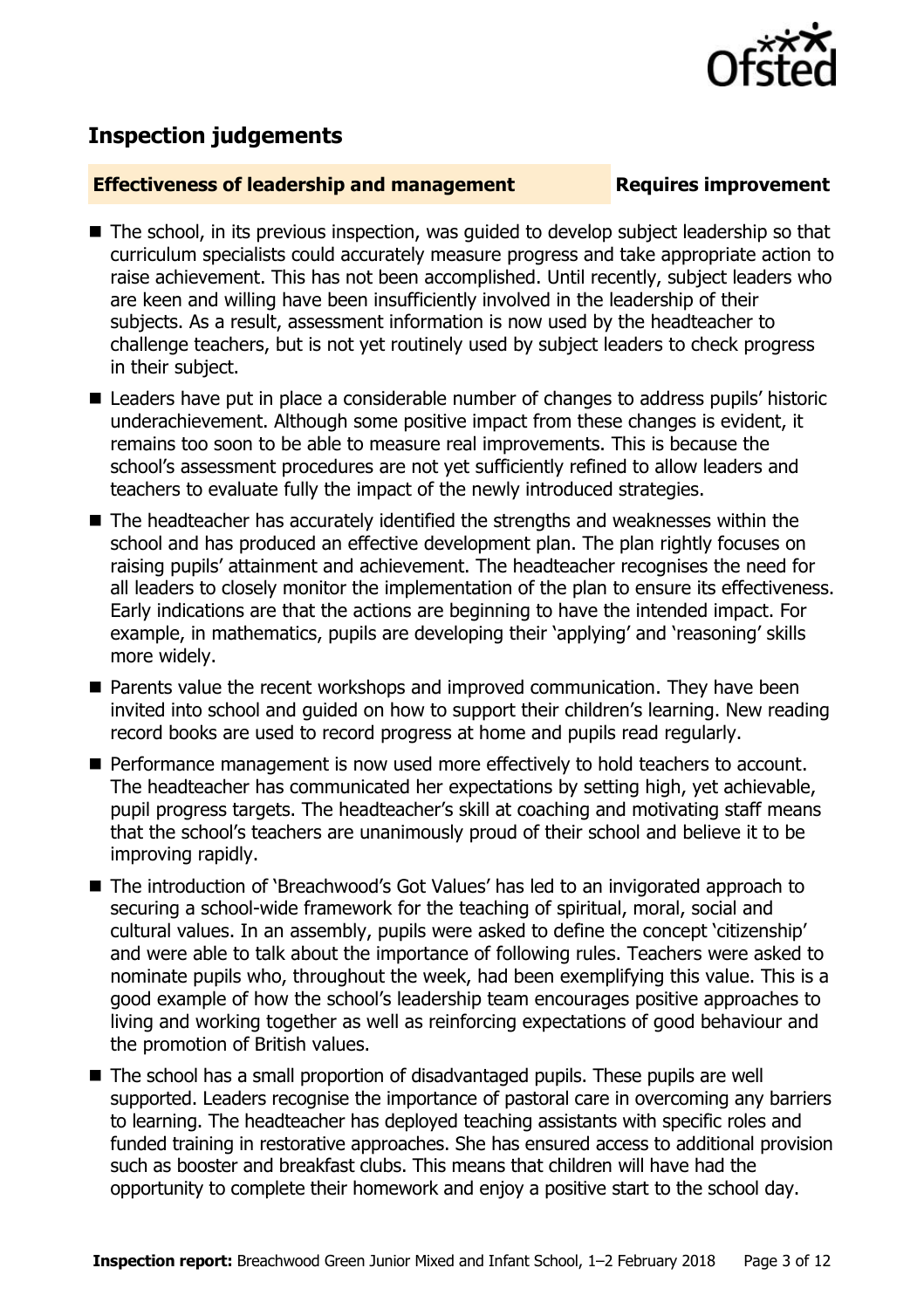

## **Inspection judgements**

### **Effectiveness of leadership and management Requires improvement**

- The school, in its previous inspection, was guided to develop subject leadership so that curriculum specialists could accurately measure progress and take appropriate action to raise achievement. This has not been accomplished. Until recently, subject leaders who are keen and willing have been insufficiently involved in the leadership of their subjects. As a result, assessment information is now used by the headteacher to challenge teachers, but is not yet routinely used by subject leaders to check progress in their subject.
- Leaders have put in place a considerable number of changes to address pupils' historic underachievement. Although some positive impact from these changes is evident, it remains too soon to be able to measure real improvements. This is because the school's assessment procedures are not yet sufficiently refined to allow leaders and teachers to evaluate fully the impact of the newly introduced strategies.
- The headteacher has accurately identified the strengths and weaknesses within the school and has produced an effective development plan. The plan rightly focuses on raising pupils' attainment and achievement. The headteacher recognises the need for all leaders to closely monitor the implementation of the plan to ensure its effectiveness. Early indications are that the actions are beginning to have the intended impact. For example, in mathematics, pupils are developing their 'applying' and 'reasoning' skills more widely.
- **Parents value the recent workshops and improved communication. They have been** invited into school and guided on how to support their children's learning. New reading record books are used to record progress at home and pupils read regularly.
- Performance management is now used more effectively to hold teachers to account. The headteacher has communicated her expectations by setting high, yet achievable, pupil progress targets. The headteacher's skill at coaching and motivating staff means that the school's teachers are unanimously proud of their school and believe it to be improving rapidly.
- The introduction of 'Breachwood's Got Values' has led to an invigorated approach to securing a school-wide framework for the teaching of spiritual, moral, social and cultural values. In an assembly, pupils were asked to define the concept 'citizenship' and were able to talk about the importance of following rules. Teachers were asked to nominate pupils who, throughout the week, had been exemplifying this value. This is a good example of how the school's leadership team encourages positive approaches to living and working together as well as reinforcing expectations of good behaviour and the promotion of British values.
- The school has a small proportion of disadvantaged pupils. These pupils are well supported. Leaders recognise the importance of pastoral care in overcoming any barriers to learning. The headteacher has deployed teaching assistants with specific roles and funded training in restorative approaches. She has ensured access to additional provision such as booster and breakfast clubs. This means that children will have had the opportunity to complete their homework and enjoy a positive start to the school day.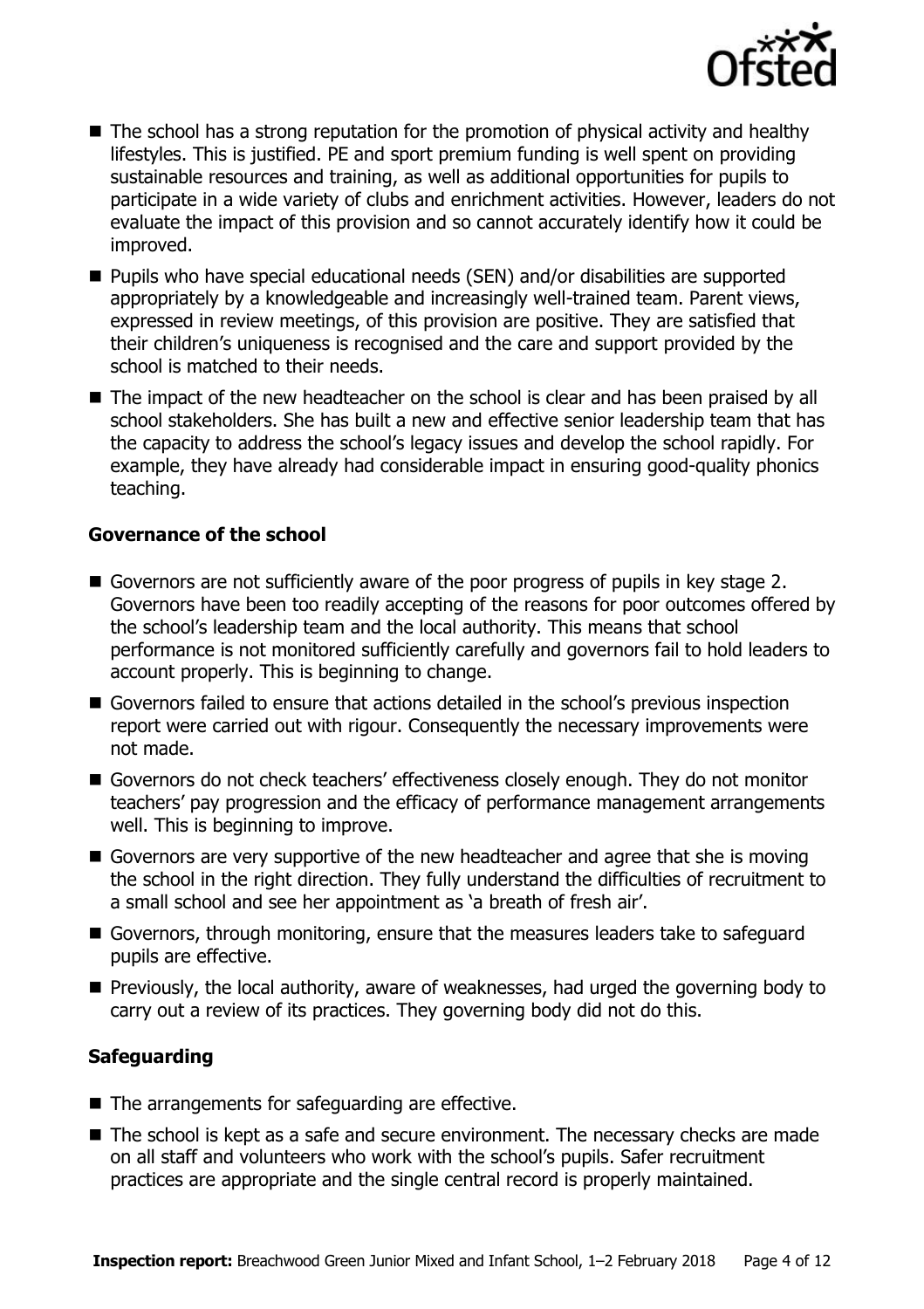

- The school has a strong reputation for the promotion of physical activity and healthy lifestyles. This is justified. PE and sport premium funding is well spent on providing sustainable resources and training, as well as additional opportunities for pupils to participate in a wide variety of clubs and enrichment activities. However, leaders do not evaluate the impact of this provision and so cannot accurately identify how it could be improved.
- Pupils who have special educational needs (SEN) and/or disabilities are supported appropriately by a knowledgeable and increasingly well-trained team. Parent views, expressed in review meetings, of this provision are positive. They are satisfied that their children's uniqueness is recognised and the care and support provided by the school is matched to their needs.
- The impact of the new headteacher on the school is clear and has been praised by all school stakeholders. She has built a new and effective senior leadership team that has the capacity to address the school's legacy issues and develop the school rapidly. For example, they have already had considerable impact in ensuring good-quality phonics teaching.

### **Governance of the school**

- Governors are not sufficiently aware of the poor progress of pupils in key stage 2. Governors have been too readily accepting of the reasons for poor outcomes offered by the school's leadership team and the local authority. This means that school performance is not monitored sufficiently carefully and governors fail to hold leaders to account properly. This is beginning to change.
- Governors failed to ensure that actions detailed in the school's previous inspection report were carried out with rigour. Consequently the necessary improvements were not made.
- Governors do not check teachers' effectiveness closely enough. They do not monitor teachers' pay progression and the efficacy of performance management arrangements well. This is beginning to improve.
- Governors are very supportive of the new headteacher and agree that she is moving the school in the right direction. They fully understand the difficulties of recruitment to a small school and see her appointment as 'a breath of fresh air'.
- Governors, through monitoring, ensure that the measures leaders take to safeguard pupils are effective.
- **Previously, the local authority, aware of weaknesses, had urged the governing body to** carry out a review of its practices. They governing body did not do this.

### **Safeguarding**

- $\blacksquare$  The arrangements for safeguarding are effective.
- The school is kept as a safe and secure environment. The necessary checks are made on all staff and volunteers who work with the school's pupils. Safer recruitment practices are appropriate and the single central record is properly maintained.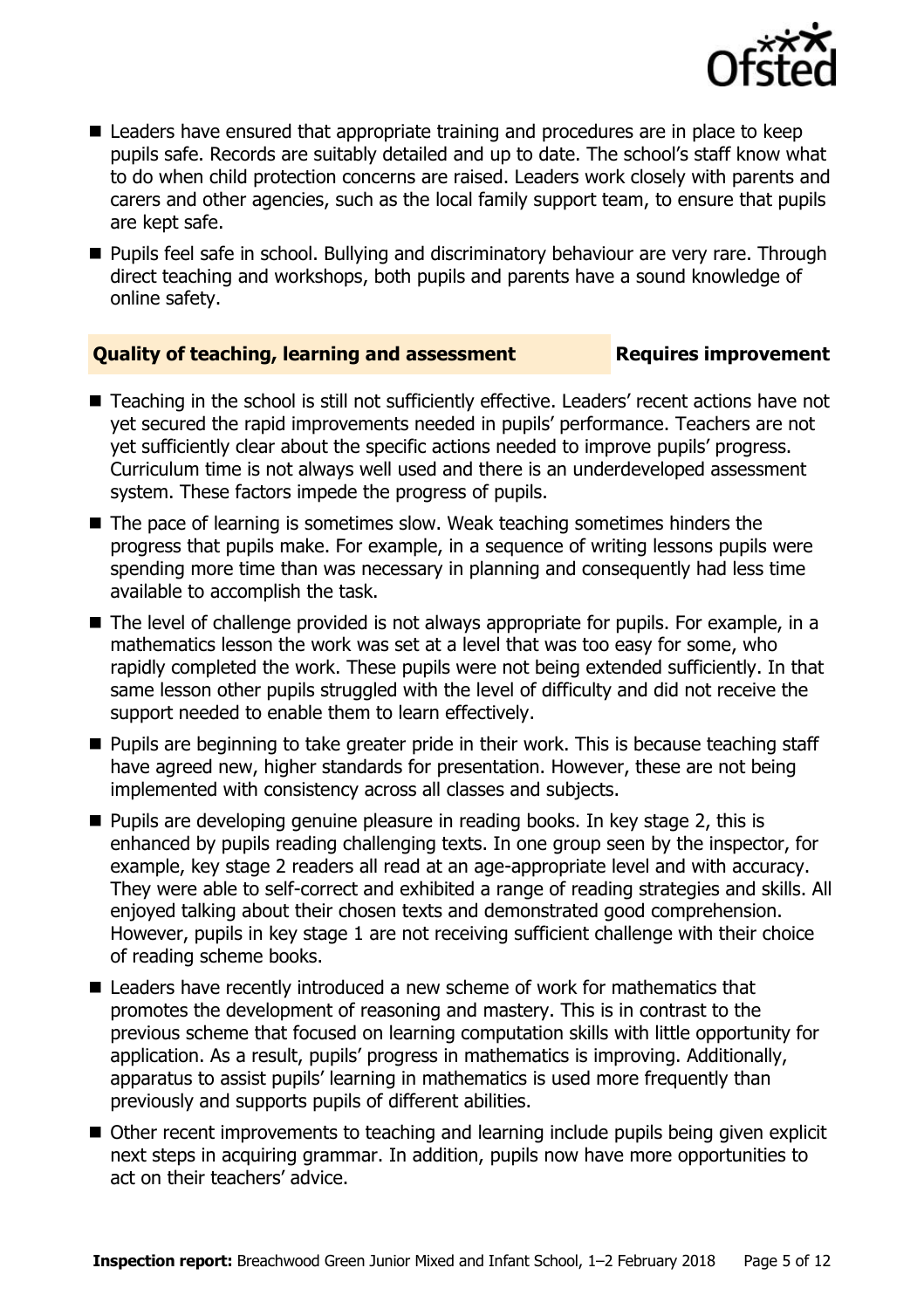

- Leaders have ensured that appropriate training and procedures are in place to keep pupils safe. Records are suitably detailed and up to date. The school's staff know what to do when child protection concerns are raised. Leaders work closely with parents and carers and other agencies, such as the local family support team, to ensure that pupils are kept safe.
- **Pupils feel safe in school. Bullying and discriminatory behaviour are very rare. Through** direct teaching and workshops, both pupils and parents have a sound knowledge of online safety.

### **Quality of teaching, learning and assessment Requires improvement**

- Teaching in the school is still not sufficiently effective. Leaders' recent actions have not yet secured the rapid improvements needed in pupils' performance. Teachers are not yet sufficiently clear about the specific actions needed to improve pupils' progress. Curriculum time is not always well used and there is an underdeveloped assessment system. These factors impede the progress of pupils.
- The pace of learning is sometimes slow. Weak teaching sometimes hinders the progress that pupils make. For example, in a sequence of writing lessons pupils were spending more time than was necessary in planning and consequently had less time available to accomplish the task.
- The level of challenge provided is not always appropriate for pupils. For example, in a mathematics lesson the work was set at a level that was too easy for some, who rapidly completed the work. These pupils were not being extended sufficiently. In that same lesson other pupils struggled with the level of difficulty and did not receive the support needed to enable them to learn effectively.
- **Pupils are beginning to take greater pride in their work. This is because teaching staff** have agreed new, higher standards for presentation. However, these are not being implemented with consistency across all classes and subjects.
- $\blacksquare$  Pupils are developing genuine pleasure in reading books. In key stage 2, this is enhanced by pupils reading challenging texts. In one group seen by the inspector, for example, key stage 2 readers all read at an age-appropriate level and with accuracy. They were able to self-correct and exhibited a range of reading strategies and skills. All enjoyed talking about their chosen texts and demonstrated good comprehension. However, pupils in key stage 1 are not receiving sufficient challenge with their choice of reading scheme books.
- Leaders have recently introduced a new scheme of work for mathematics that promotes the development of reasoning and mastery. This is in contrast to the previous scheme that focused on learning computation skills with little opportunity for application. As a result, pupils' progress in mathematics is improving. Additionally, apparatus to assist pupils' learning in mathematics is used more frequently than previously and supports pupils of different abilities.
- Other recent improvements to teaching and learning include pupils being given explicit next steps in acquiring grammar. In addition, pupils now have more opportunities to act on their teachers' advice.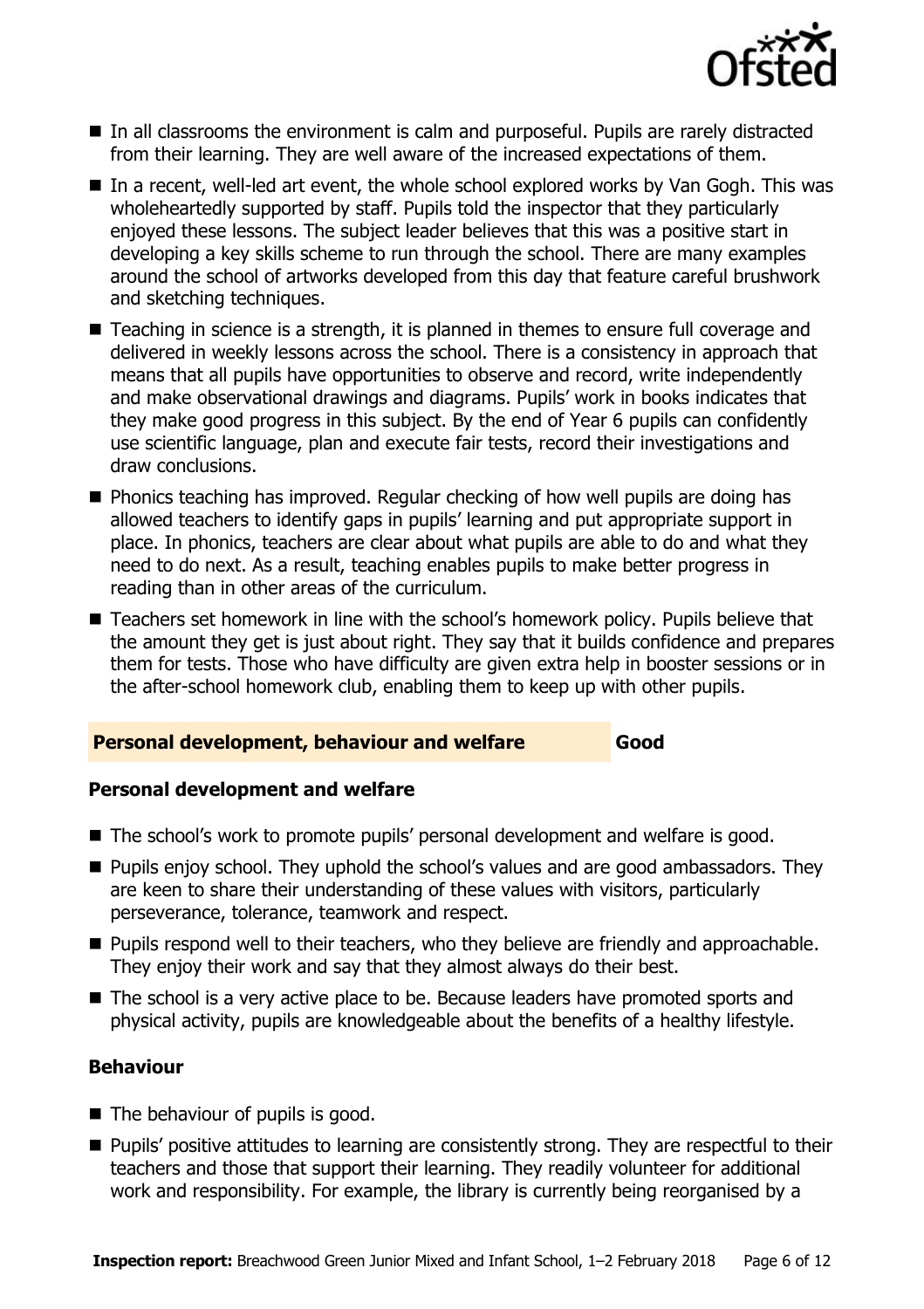

- In all classrooms the environment is calm and purposeful. Pupils are rarely distracted from their learning. They are well aware of the increased expectations of them.
- In a recent, well-led art event, the whole school explored works by Van Gogh. This was wholeheartedly supported by staff. Pupils told the inspector that they particularly enjoyed these lessons. The subject leader believes that this was a positive start in developing a key skills scheme to run through the school. There are many examples around the school of artworks developed from this day that feature careful brushwork and sketching techniques.
- Teaching in science is a strength, it is planned in themes to ensure full coverage and delivered in weekly lessons across the school. There is a consistency in approach that means that all pupils have opportunities to observe and record, write independently and make observational drawings and diagrams. Pupils' work in books indicates that they make good progress in this subject. By the end of Year 6 pupils can confidently use scientific language, plan and execute fair tests, record their investigations and draw conclusions.
- **Phonics teaching has improved. Regular checking of how well pupils are doing has** allowed teachers to identify gaps in pupils' learning and put appropriate support in place. In phonics, teachers are clear about what pupils are able to do and what they need to do next. As a result, teaching enables pupils to make better progress in reading than in other areas of the curriculum.
- Teachers set homework in line with the school's homework policy. Pupils believe that the amount they get is just about right. They say that it builds confidence and prepares them for tests. Those who have difficulty are given extra help in booster sessions or in the after-school homework club, enabling them to keep up with other pupils.

### **Personal development, behaviour and welfare Good**

### **Personal development and welfare**

- The school's work to promote pupils' personal development and welfare is good.
- Pupils enjoy school. They uphold the school's values and are good ambassadors. They are keen to share their understanding of these values with visitors, particularly perseverance, tolerance, teamwork and respect.
- **Pupils respond well to their teachers, who they believe are friendly and approachable.** They enjoy their work and say that they almost always do their best.
- The school is a very active place to be. Because leaders have promoted sports and physical activity, pupils are knowledgeable about the benefits of a healthy lifestyle.

### **Behaviour**

- $\blacksquare$  The behaviour of pupils is good.
- **Pupils' positive attitudes to learning are consistently strong. They are respectful to their** teachers and those that support their learning. They readily volunteer for additional work and responsibility. For example, the library is currently being reorganised by a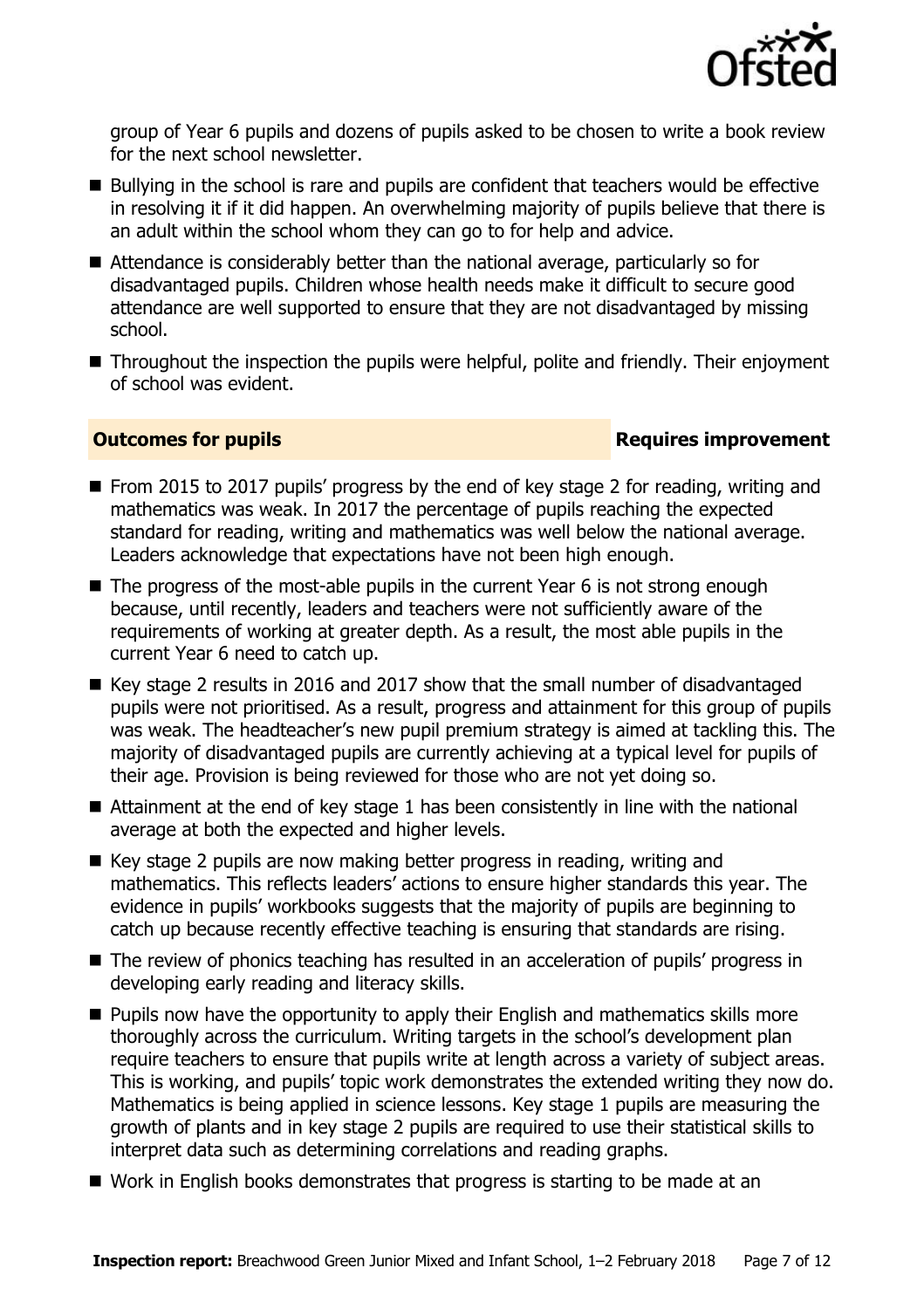

group of Year 6 pupils and dozens of pupils asked to be chosen to write a book review for the next school newsletter.

- Bullying in the school is rare and pupils are confident that teachers would be effective in resolving it if it did happen. An overwhelming majority of pupils believe that there is an adult within the school whom they can go to for help and advice.
- Attendance is considerably better than the national average, particularly so for disadvantaged pupils. Children whose health needs make it difficult to secure good attendance are well supported to ensure that they are not disadvantaged by missing school.
- Throughout the inspection the pupils were helpful, polite and friendly. Their enjoyment of school was evident.

### **Outcomes for pupils Requires improvement**

- From 2015 to 2017 pupils' progress by the end of key stage 2 for reading, writing and mathematics was weak. In 2017 the percentage of pupils reaching the expected standard for reading, writing and mathematics was well below the national average. Leaders acknowledge that expectations have not been high enough.
- $\blacksquare$  The progress of the most-able pupils in the current Year 6 is not strong enough because, until recently, leaders and teachers were not sufficiently aware of the requirements of working at greater depth. As a result, the most able pupils in the current Year 6 need to catch up.
- Key stage 2 results in 2016 and 2017 show that the small number of disadvantaged pupils were not prioritised. As a result, progress and attainment for this group of pupils was weak. The headteacher's new pupil premium strategy is aimed at tackling this. The majority of disadvantaged pupils are currently achieving at a typical level for pupils of their age. Provision is being reviewed for those who are not yet doing so.
- Attainment at the end of key stage 1 has been consistently in line with the national average at both the expected and higher levels.
- Key stage 2 pupils are now making better progress in reading, writing and mathematics. This reflects leaders' actions to ensure higher standards this year. The evidence in pupils' workbooks suggests that the majority of pupils are beginning to catch up because recently effective teaching is ensuring that standards are rising.
- The review of phonics teaching has resulted in an acceleration of pupils' progress in developing early reading and literacy skills.
- **Pupils now have the opportunity to apply their English and mathematics skills more** thoroughly across the curriculum. Writing targets in the school's development plan require teachers to ensure that pupils write at length across a variety of subject areas. This is working, and pupils' topic work demonstrates the extended writing they now do. Mathematics is being applied in science lessons. Key stage 1 pupils are measuring the growth of plants and in key stage 2 pupils are required to use their statistical skills to interpret data such as determining correlations and reading graphs.
- Work in English books demonstrates that progress is starting to be made at an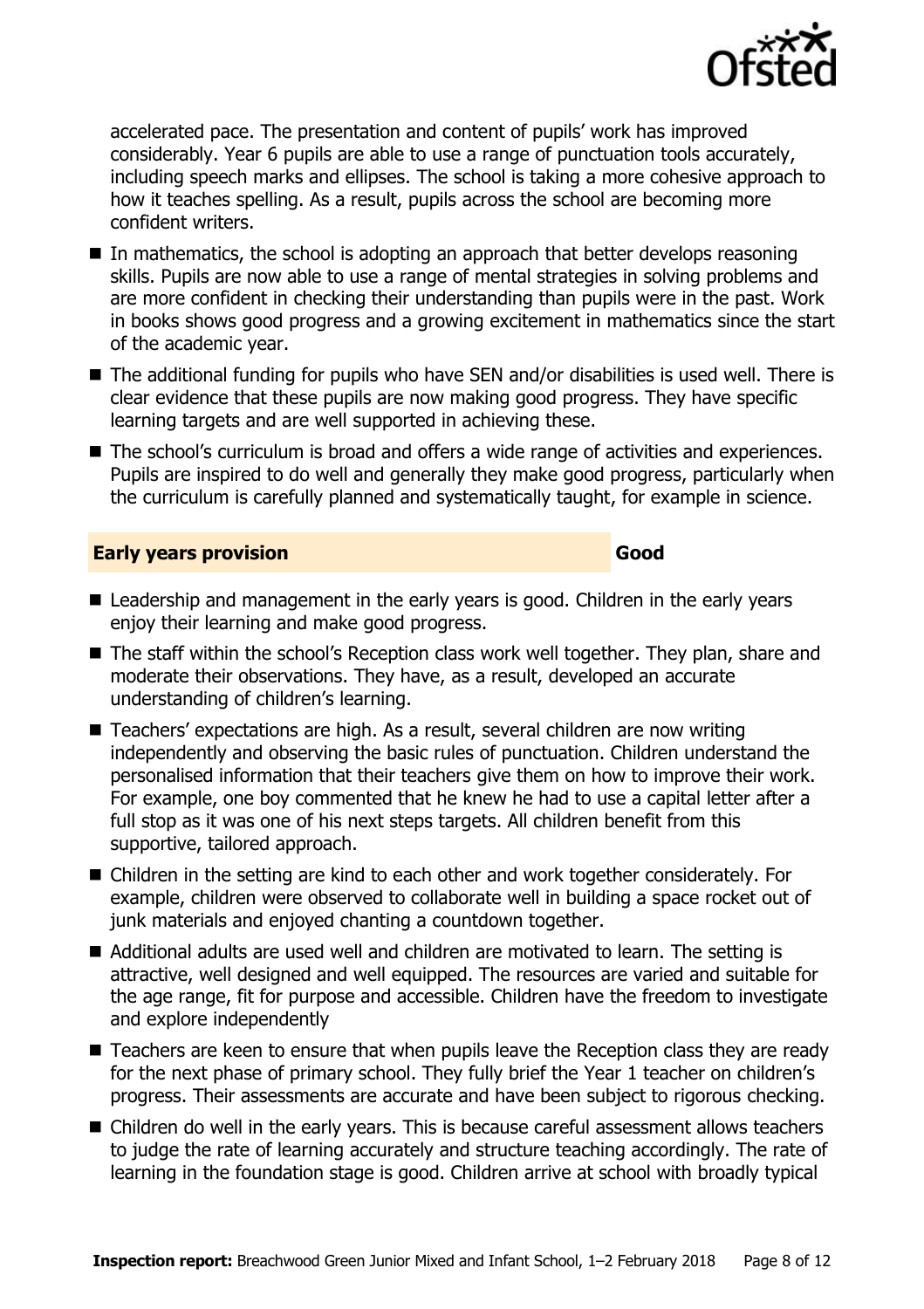

accelerated pace. The presentation and content of pupils' work has improved considerably. Year 6 pupils are able to use a range of punctuation tools accurately, including speech marks and ellipses. The school is taking a more cohesive approach to how it teaches spelling. As a result, pupils across the school are becoming more confident writers.

- $\blacksquare$  In mathematics, the school is adopting an approach that better develops reasoning skills. Pupils are now able to use a range of mental strategies in solving problems and are more confident in checking their understanding than pupils were in the past. Work in books shows good progress and a growing excitement in mathematics since the start of the academic year.
- The additional funding for pupils who have SEN and/or disabilities is used well. There is clear evidence that these pupils are now making good progress. They have specific learning targets and are well supported in achieving these.
- The school's curriculum is broad and offers a wide range of activities and experiences. Pupils are inspired to do well and generally they make good progress, particularly when the curriculum is carefully planned and systematically taught, for example in science.

### **Early years provision Good Good**

- Leadership and management in the early years is good. Children in the early years enjoy their learning and make good progress.
- The staff within the school's Reception class work well together. They plan, share and moderate their observations. They have, as a result, developed an accurate understanding of children's learning.
- Teachers' expectations are high. As a result, several children are now writing independently and observing the basic rules of punctuation. Children understand the personalised information that their teachers give them on how to improve their work. For example, one boy commented that he knew he had to use a capital letter after a full stop as it was one of his next steps targets. All children benefit from this supportive, tailored approach.
- Children in the setting are kind to each other and work together considerately. For example, children were observed to collaborate well in building a space rocket out of junk materials and enjoved chanting a countdown together.
- Additional adults are used well and children are motivated to learn. The setting is attractive, well designed and well equipped. The resources are varied and suitable for the age range, fit for purpose and accessible. Children have the freedom to investigate and explore independently
- Teachers are keen to ensure that when pupils leave the Reception class they are ready for the next phase of primary school. They fully brief the Year 1 teacher on children's progress. Their assessments are accurate and have been subject to rigorous checking.
- Children do well in the early years. This is because careful assessment allows teachers to judge the rate of learning accurately and structure teaching accordingly. The rate of learning in the foundation stage is good. Children arrive at school with broadly typical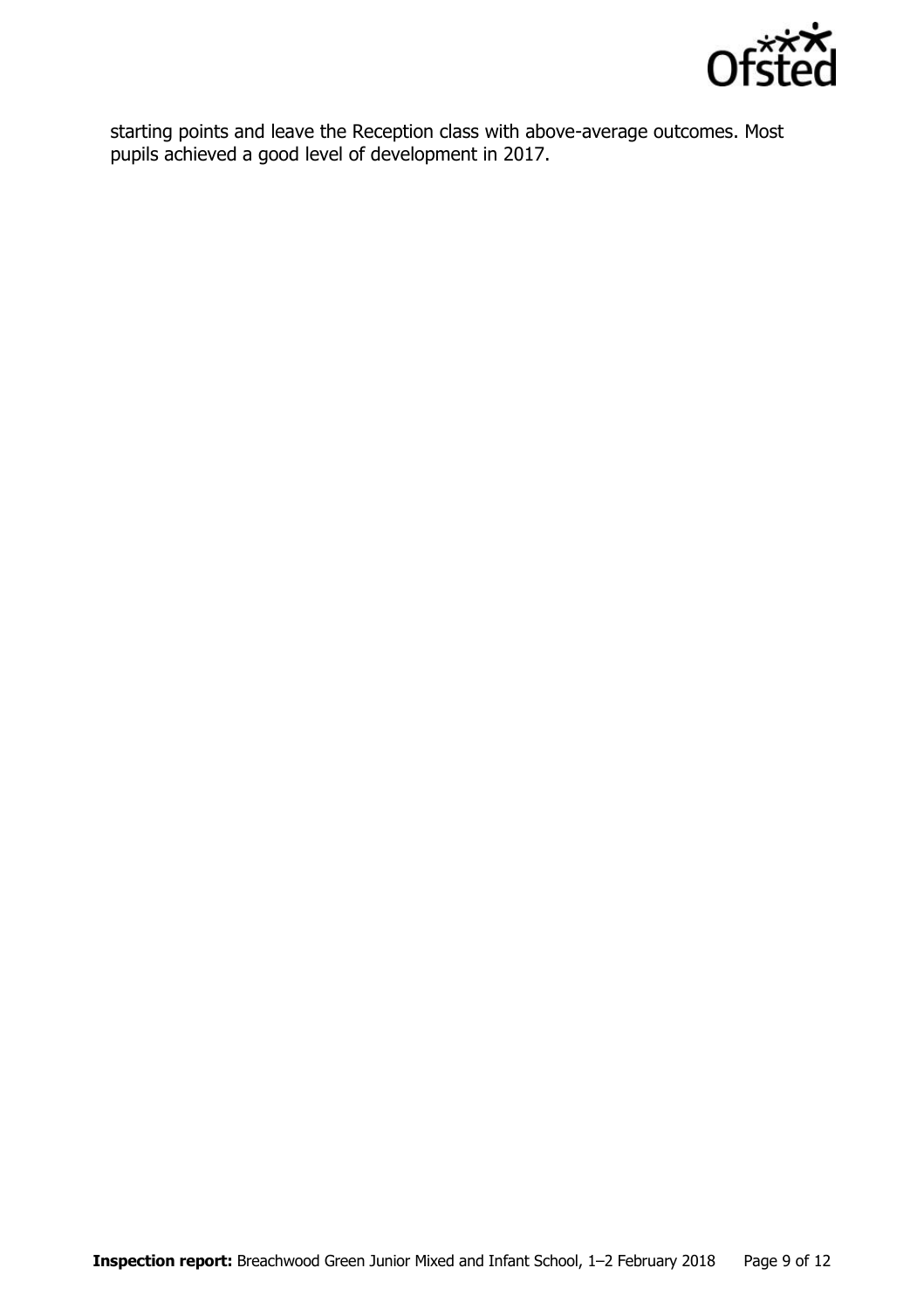

starting points and leave the Reception class with above-average outcomes. Most pupils achieved a good level of development in 2017.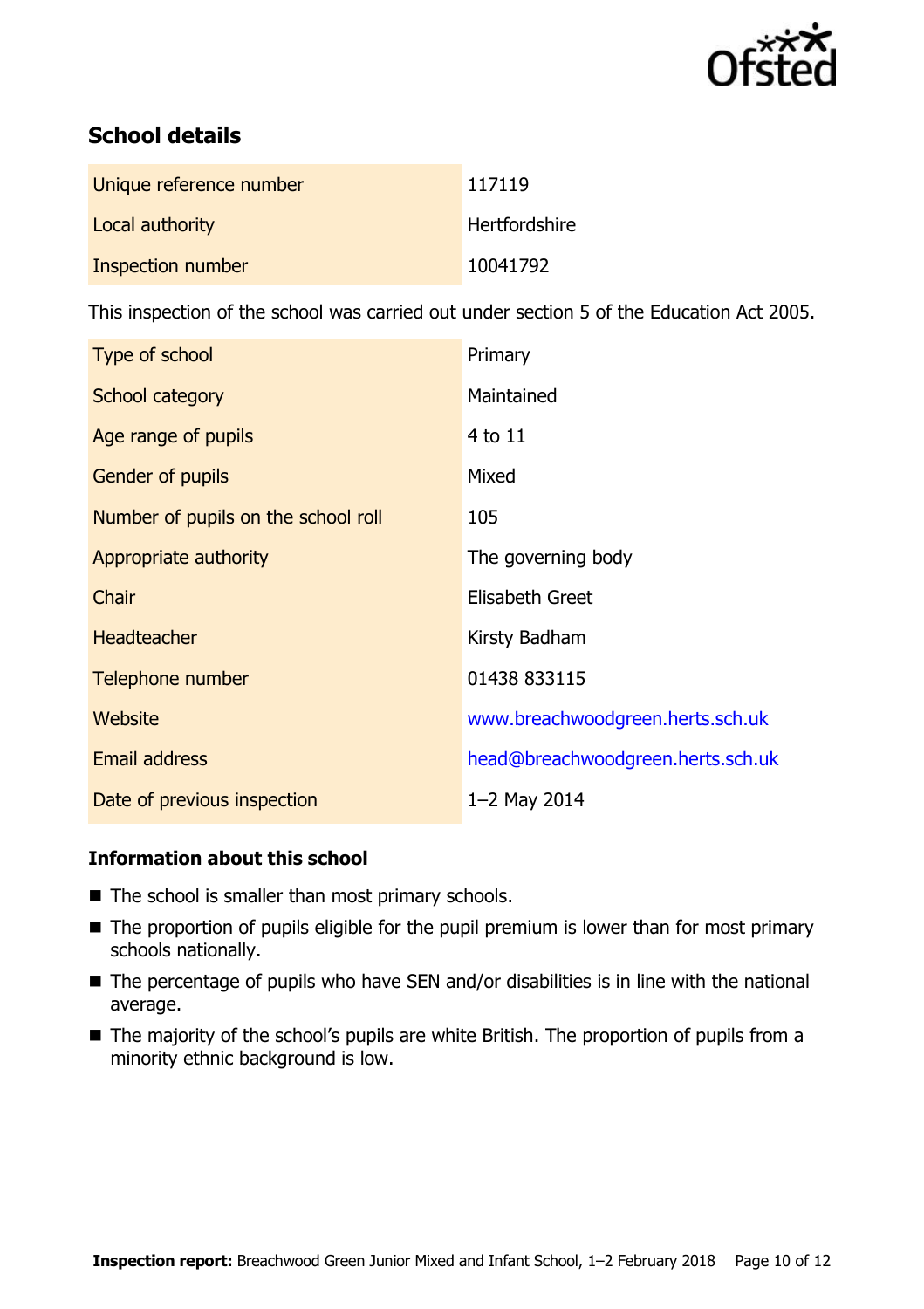

# **School details**

| Unique reference number | 117119        |
|-------------------------|---------------|
| Local authority         | Hertfordshire |
| Inspection number       | 10041792      |

This inspection of the school was carried out under section 5 of the Education Act 2005.

| Type of school                      | Primary                           |
|-------------------------------------|-----------------------------------|
| School category                     | Maintained                        |
| Age range of pupils                 | 4 to 11                           |
| <b>Gender of pupils</b>             | Mixed                             |
| Number of pupils on the school roll | 105                               |
| Appropriate authority               | The governing body                |
| Chair                               | Elisabeth Greet                   |
| <b>Headteacher</b>                  | Kirsty Badham                     |
| Telephone number                    | 01438 833115                      |
| Website                             | www.breachwoodgreen.herts.sch.uk  |
| <b>Email address</b>                | head@breachwoodgreen.herts.sch.uk |
| Date of previous inspection         | $1 - 2$ May 2014                  |

### **Information about this school**

- The school is smaller than most primary schools.
- The proportion of pupils eligible for the pupil premium is lower than for most primary schools nationally.
- The percentage of pupils who have SEN and/or disabilities is in line with the national average.
- The majority of the school's pupils are white British. The proportion of pupils from a minority ethnic background is low.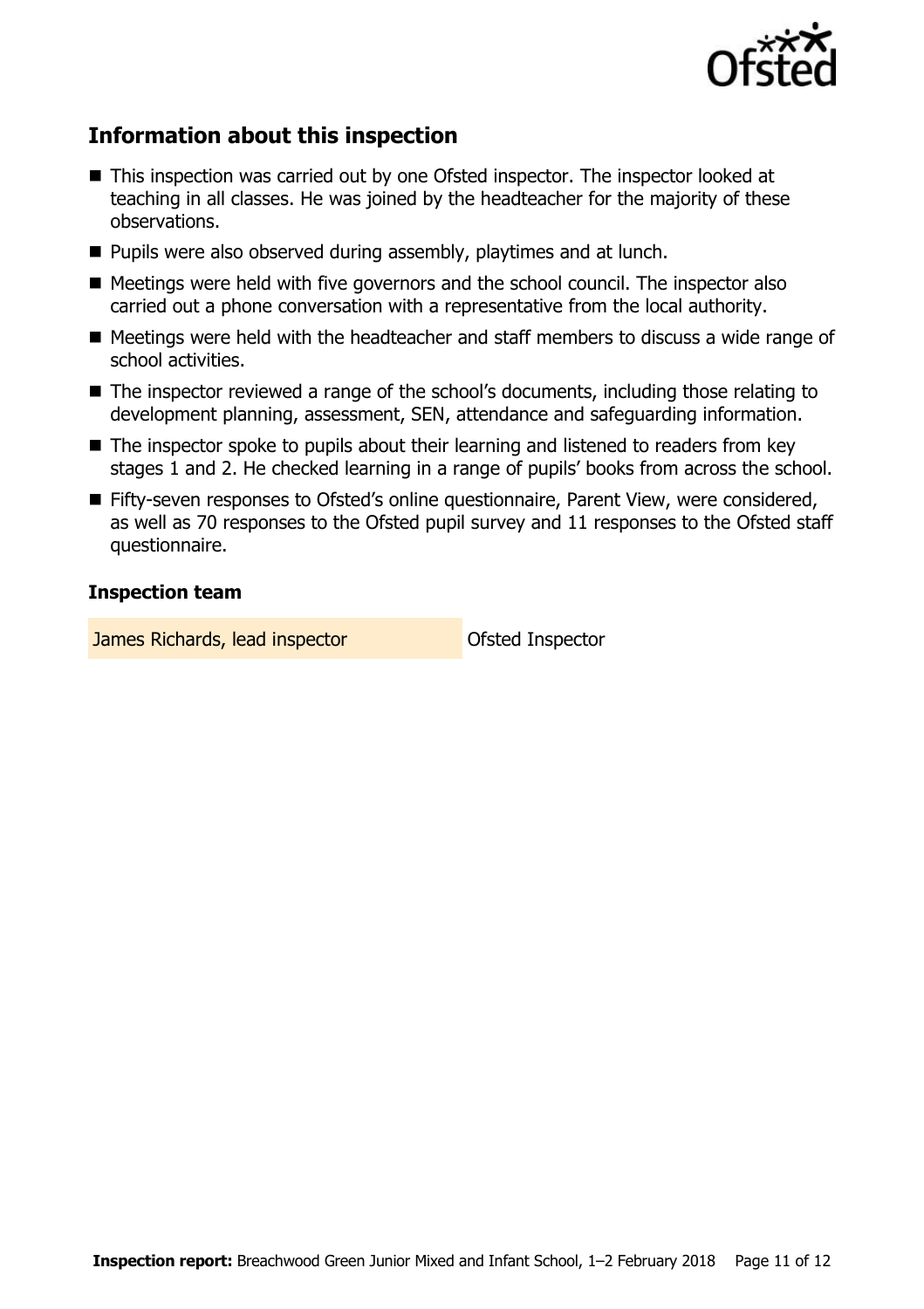

# **Information about this inspection**

- This inspection was carried out by one Ofsted inspector. The inspector looked at teaching in all classes. He was joined by the headteacher for the majority of these observations.
- **Pupils were also observed during assembly, playtimes and at lunch.**
- Meetings were held with five governors and the school council. The inspector also carried out a phone conversation with a representative from the local authority.
- Meetings were held with the headteacher and staff members to discuss a wide range of school activities.
- The inspector reviewed a range of the school's documents, including those relating to development planning, assessment, SEN, attendance and safeguarding information.
- The inspector spoke to pupils about their learning and listened to readers from key stages 1 and 2. He checked learning in a range of pupils' books from across the school.
- Fifty-seven responses to Ofsted's online questionnaire, Parent View, were considered, as well as 70 responses to the Ofsted pupil survey and 11 responses to the Ofsted staff questionnaire.

### **Inspection team**

**James Richards, lead inspector Constructed Inspector**